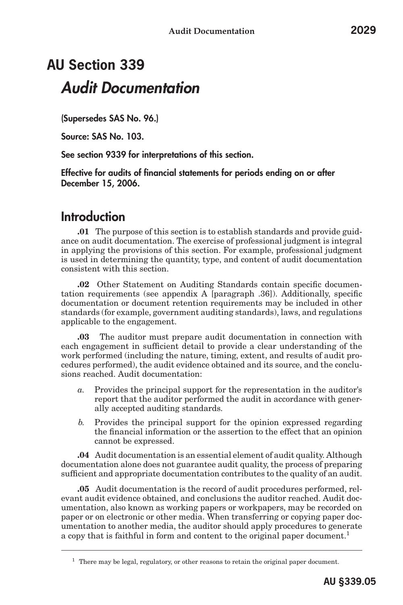# **AU Section 339** *Audit Documentation*

(Supersedes SAS No. 96.)

Source: SAS No. 103.

See section 9339 for interpretations of this section.

Effective for audits of financial statements for periods ending on or after December 15, 2006.

### Introduction

**.01** The purpose of this section is to establish standards and provide guidance on audit documentation. The exercise of professional judgment is integral in applying the provisions of this section. For example, professional judgment is used in determining the quantity, type, and content of audit documentation consistent with this section.

**.02** Other Statement on Auditing Standards contain specific documentation requirements (see appendix A [paragraph .36]). Additionally, specific documentation or document retention requirements may be included in other standards (for example, government auditing standards), laws, and regulations applicable to the engagement.

**.03** The auditor must prepare audit documentation in connection with each engagement in sufficient detail to provide a clear understanding of the work performed (including the nature, timing, extent, and results of audit procedures performed), the audit evidence obtained and its source, and the conclusions reached. Audit documentation:

- *a.* Provides the principal support for the representation in the auditor's report that the auditor performed the audit in accordance with generally accepted auditing standards.
- *b.* Provides the principal support for the opinion expressed regarding the financial information or the assertion to the effect that an opinion cannot be expressed.

**.04** Audit documentation is an essential element of audit quality. Although documentation alone does not guarantee audit quality, the process of preparing sufficient and appropriate documentation contributes to the quality of an audit.

**.05** Audit documentation is the record of audit procedures performed, relevant audit evidence obtained, and conclusions the auditor reached. Audit documentation, also known as working papers or workpapers, may be recorded on paper or on electronic or other media. When transferring or copying paper documentation to another media, the auditor should apply procedures to generate a copy that is faithful in form and content to the original paper document.<sup>1</sup>

 $1$  There may be legal, regulatory, or other reasons to retain the original paper document.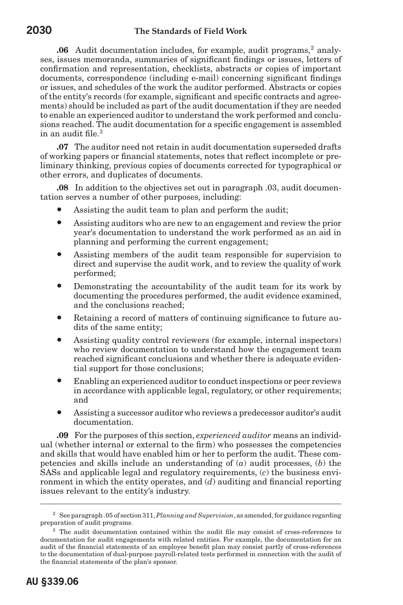**.06** Audit documentation includes, for example, audit programs,<sup>2</sup> analyses, issues memoranda, summaries of significant findings or issues, letters of confirmation and representation, checklists, abstracts or copies of important documents, correspondence (including e-mail) concerning significant findings or issues, and schedules of the work the auditor performed. Abstracts or copies of the entity's records (for example, significant and specific contracts and agreements) should be included as part of the audit documentation if they are needed to enable an experienced auditor to understand the work performed and conclusions reached. The audit documentation for a specific engagement is assembled in an audit file.<sup>3</sup>

**.07** The auditor need not retain in audit documentation superseded drafts of working papers or financial statements, notes that reflect incomplete or preliminary thinking, previous copies of documents corrected for typographical or other errors, and duplicates of documents.

**.08** In addition to the objectives set out in paragraph .03, audit documentation serves a number of other purposes, including:

- Assisting the audit team to plan and perform the audit;
- Assisting auditors who are new to an engagement and review the prior year's documentation to understand the work performed as an aid in planning and performing the current engagement;
- Assisting members of the audit team responsible for supervision to direct and supervise the audit work, and to review the quality of work performed;
- Demonstrating the accountability of the audit team for its work by documenting the procedures performed, the audit evidence examined, and the conclusions reached;
- Retaining a record of matters of continuing significance to future audits of the same entity;
- Assisting quality control reviewers (for example, internal inspectors) who review documentation to understand how the engagement team reached significant conclusions and whether there is adequate evidential support for those conclusions;
- Enabling an experienced auditor to conduct inspections or peer reviews in accordance with applicable legal, regulatory, or other requirements; and
- Assisting a successor auditor who reviews a predecessor auditor's audit documentation.

**.09** For the purposes of this section, *experienced auditor* means an individual (whether internal or external to the firm) who possesses the competencies and skills that would have enabled him or her to perform the audit. These competencies and skills include an understanding of (*a*) audit processes, (*b*) the SASs and applicable legal and regulatory requirements, (*c*) the business environment in which the entity operates, and (*d*) auditing and financial reporting issues relevant to the entity's industry.

<sup>2</sup> See paragraph .05 of section 311, *Planning and Supervision*, as amended, for guidance regarding preparation of audit programs.

<sup>3</sup> The audit documentation contained within the audit file may consist of cross-references to documentation for audit engagements with related entities. For example, the documentation for an audit of the financial statements of an employee benefit plan may consist partly of cross-references to the documentation of dual-purpose payroll-related tests performed in connection with the audit of the financial statements of the plan's sponsor.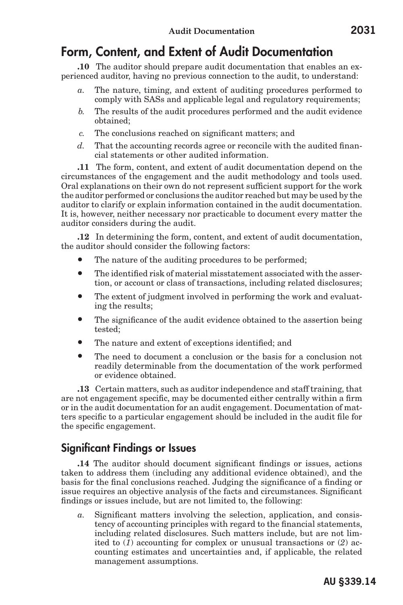### Form, Content, and Extent of Audit Documentation

**.10** The auditor should prepare audit documentation that enables an experienced auditor, having no previous connection to the audit, to understand:

- *a.* The nature, timing, and extent of auditing procedures performed to comply with SASs and applicable legal and regulatory requirements;
- *b.* The results of the audit procedures performed and the audit evidence obtained;
- *c.* The conclusions reached on significant matters; and
- *d.* That the accounting records agree or reconcile with the audited financial statements or other audited information.

**.11** The form, content, and extent of audit documentation depend on the circumstances of the engagement and the audit methodology and tools used. Oral explanations on their own do not represent sufficient support for the work the auditor performed or conclusions the auditor reached but may be used by the auditor to clarify or explain information contained in the audit documentation. It is, however, neither necessary nor practicable to document every matter the auditor considers during the audit.

**.12** In determining the form, content, and extent of audit documentation, the auditor should consider the following factors:

- The nature of the auditing procedures to be performed;
- The identified risk of material misstatement associated with the assertion, or account or class of transactions, including related disclosures;
- The extent of judgment involved in performing the work and evaluating the results;
- The significance of the audit evidence obtained to the assertion being tested;
- The nature and extent of exceptions identified; and
- The need to document a conclusion or the basis for a conclusion not readily determinable from the documentation of the work performed or evidence obtained.

**.13** Certain matters, such as auditor independence and staff training, that are not engagement specific, may be documented either centrally within a firm or in the audit documentation for an audit engagement. Documentation of matters specific to a particular engagement should be included in the audit file for the specific engagement.

#### Significant Findings or Issues

**.14** The auditor should document significant findings or issues, actions taken to address them (including any additional evidence obtained), and the basis for the final conclusions reached. Judging the significance of a finding or issue requires an objective analysis of the facts and circumstances. Significant findings or issues include, but are not limited to, the following:

*a.* Significant matters involving the selection, application, and consistency of accounting principles with regard to the financial statements, including related disclosures. Such matters include, but are not limited to (*1*) accounting for complex or unusual transactions or (*2*) accounting estimates and uncertainties and, if applicable, the related management assumptions.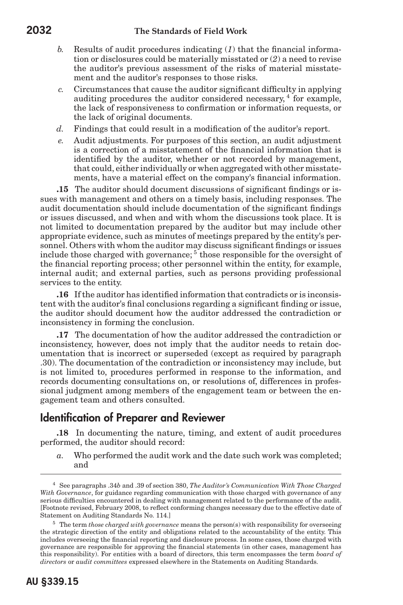#### **2032 The Standards of Field Work**

- *b.* Results of audit procedures indicating (*1*) that the financial information or disclosures could be materially misstated or (*2*) a need to revise the auditor's previous assessment of the risks of material misstatement and the auditor's responses to those risks.
- *c.* Circumstances that cause the auditor significant difficulty in applying auditing procedures the auditor considered necessary,<sup>4</sup> for example, the lack of responsiveness to confirmation or information requests, or the lack of original documents.
- *d.* Findings that could result in a modification of the auditor's report.
- *e.* Audit adjustments. For purposes of this section, an audit adjustment is a correction of a misstatement of the financial information that is identified by the auditor, whether or not recorded by management, that could, either individually or when aggregated with other misstatements, have a material effect on the company's financial information.

**.15** The auditor should document discussions of significant findings or issues with management and others on a timely basis, including responses. The audit documentation should include documentation of the significant findings or issues discussed, and when and with whom the discussions took place. It is not limited to documentation prepared by the auditor but may include other appropriate evidence, such as minutes of meetings prepared by the entity's personnel. Others with whom the auditor may discuss significant findings or issues include those charged with governance;<sup>5</sup> those responsible for the oversight of the financial reporting process; other personnel within the entity, for example, internal audit; and external parties, such as persons providing professional services to the entity.

**.16** If the auditor has identified information that contradicts or is inconsistent with the auditor's final conclusions regarding a significant finding or issue, the auditor should document how the auditor addressed the contradiction or inconsistency in forming the conclusion.

**.17** The documentation of how the auditor addressed the contradiction or inconsistency, however, does not imply that the auditor needs to retain documentation that is incorrect or superseded (except as required by paragraph .30). The documentation of the contradiction or inconsistency may include, but is not limited to, procedures performed in response to the information, and records documenting consultations on, or resolutions of, differences in professional judgment among members of the engagement team or between the engagement team and others consulted.

#### Identification of Preparer and Reviewer

**.18** In documenting the nature, timing, and extent of audit procedures performed, the auditor should record:

*a.* Who performed the audit work and the date such work was completed; and

<sup>4</sup> See paragraphs .34*b* and .39 of section 380, *The Auditor's Communication With Those Charged With Governance*, for guidance regarding communication with those charged with governance of any serious difficulties encountered in dealing with management related to the performance of the audit. [Footnote revised, February 2008, to reflect conforming changes necessary due to the effective date of Statement on Auditing Standards No. 114.]

<sup>&</sup>lt;sup>5</sup> The term *those charged with governance* means the person(s) with responsibility for overseeing the strategic direction of the entity and obligations related to the accountability of the entity. This includes overseeing the financial reporting and disclosure process. In some cases, those charged with governance are responsible for approving the financial statements (in other cases, management has this responsibility). For entities with a board of directors, this term encompasses the term *board of directors* or *audit committees* expressed elsewhere in the Statements on Auditing Standards.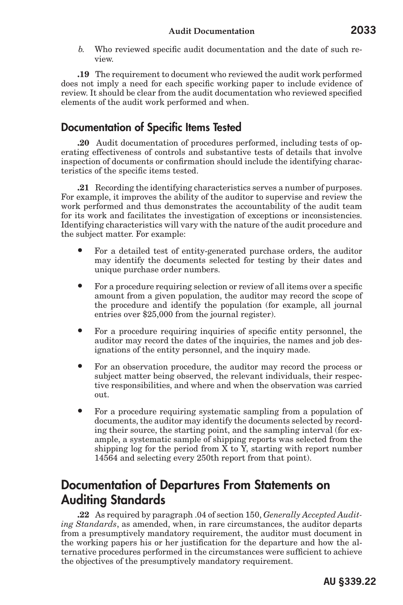*b.* Who reviewed specific audit documentation and the date of such review.

**.19** The requirement to document who reviewed the audit work performed does not imply a need for each specific working paper to include evidence of review. It should be clear from the audit documentation who reviewed specified elements of the audit work performed and when.

#### Documentation of Specific Items Tested

**.20** Audit documentation of procedures performed, including tests of operating effectiveness of controls and substantive tests of details that involve inspection of documents or confirmation should include the identifying characteristics of the specific items tested.

**.21** Recording the identifying characteristics serves a number of purposes. For example, it improves the ability of the auditor to supervise and review the work performed and thus demonstrates the accountability of the audit team for its work and facilitates the investigation of exceptions or inconsistencies. Identifying characteristics will vary with the nature of the audit procedure and the subject matter. For example:

- For a detailed test of entity-generated purchase orders, the auditor may identify the documents selected for testing by their dates and unique purchase order numbers.
- For a procedure requiring selection or review of all items over a specific amount from a given population, the auditor may record the scope of the procedure and identify the population (for example, all journal entries over \$25,000 from the journal register).
- For a procedure requiring inquiries of specific entity personnel, the auditor may record the dates of the inquiries, the names and job designations of the entity personnel, and the inquiry made.
- For an observation procedure, the auditor may record the process or subject matter being observed, the relevant individuals, their respective responsibilities, and where and when the observation was carried out.
- For a procedure requiring systematic sampling from a population of documents, the auditor may identify the documents selected by recording their source, the starting point, and the sampling interval (for example, a systematic sample of shipping reports was selected from the shipping log for the period from X to Y, starting with report number 14564 and selecting every 250th report from that point).

### Documentation of Departures From Statements on Auditing Standards

**.22** As required by paragraph .04 of section 150, *Generally Accepted Auditing Standards*, as amended, when, in rare circumstances, the auditor departs from a presumptively mandatory requirement, the auditor must document in the working papers his or her justification for the departure and how the alternative procedures performed in the circumstances were sufficient to achieve the objectives of the presumptively mandatory requirement.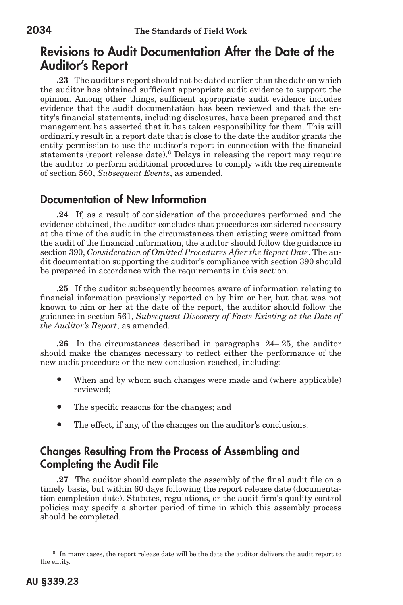### Revisions to Audit Documentation After the Date of the Auditor's Report

**.23** The auditor's report should not be dated earlier than the date on which the auditor has obtained sufficient appropriate audit evidence to support the opinion. Among other things, sufficient appropriate audit evidence includes evidence that the audit documentation has been reviewed and that the entity's financial statements, including disclosures, have been prepared and that management has asserted that it has taken responsibility for them. This will ordinarily result in a report date that is close to the date the auditor grants the entity permission to use the auditor's report in connection with the financial statements (report release date).<sup>6</sup> Delays in releasing the report may require the auditor to perform additional procedures to comply with the requirements of section 560, *Subsequent Events*, as amended.

#### Documentation of New Information

**.24** If, as a result of consideration of the procedures performed and the evidence obtained, the auditor concludes that procedures considered necessary at the time of the audit in the circumstances then existing were omitted from the audit of the financial information, the auditor should follow the guidance in section 390, *Consideration of Omitted Procedures After the Report Date*. The audit documentation supporting the auditor's compliance with section 390 should be prepared in accordance with the requirements in this section.

**.25** If the auditor subsequently becomes aware of information relating to financial information previously reported on by him or her, but that was not known to him or her at the date of the report, the auditor should follow the guidance in section 561, *Subsequent Discovery of Facts Existing at the Date of the Auditor's Report*, as amended.

**.26** In the circumstances described in paragraphs .24–.25, the auditor should make the changes necessary to reflect either the performance of the new audit procedure or the new conclusion reached, including:

- When and by whom such changes were made and (where applicable) reviewed;
- The specific reasons for the changes; and
- The effect, if any, of the changes on the auditor's conclusions.

#### Changes Resulting From the Process of Assembling and Completing the Audit File

**.27** The auditor should complete the assembly of the final audit file on a timely basis, but within 60 days following the report release date (documentation completion date). Statutes, regulations, or the audit firm's quality control policies may specify a shorter period of time in which this assembly process should be completed.

<sup>6</sup> In many cases, the report release date will be the date the auditor delivers the audit report to the entity.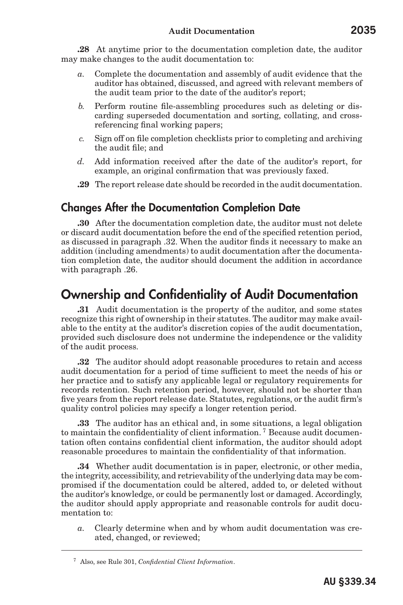**.28** At anytime prior to the documentation completion date, the auditor may make changes to the audit documentation to:

- *a.* Complete the documentation and assembly of audit evidence that the auditor has obtained, discussed, and agreed with relevant members of the audit team prior to the date of the auditor's report;
- *b.* Perform routine file-assembling procedures such as deleting or discarding superseded documentation and sorting, collating, and crossreferencing final working papers;
- *c.* Sign off on file completion checklists prior to completing and archiving the audit file; and
- *d.* Add information received after the date of the auditor's report, for example, an original confirmation that was previously faxed.
- **.29** The report release date should be recorded in the audit documentation.

#### Changes After the Documentation Completion Date

**.30** After the documentation completion date, the auditor must not delete or discard audit documentation before the end of the specified retention period, as discussed in paragraph .32. When the auditor finds it necessary to make an addition (including amendments) to audit documentation after the documentation completion date, the auditor should document the addition in accordance with paragraph .26.

### Ownership and Confidentiality of Audit Documentation

**.31** Audit documentation is the property of the auditor, and some states recognize this right of ownership in their statutes. The auditor may make available to the entity at the auditor's discretion copies of the audit documentation, provided such disclosure does not undermine the independence or the validity of the audit process.

**.32** The auditor should adopt reasonable procedures to retain and access audit documentation for a period of time sufficient to meet the needs of his or her practice and to satisfy any applicable legal or regulatory requirements for records retention. Such retention period, however, should not be shorter than five years from the report release date. Statutes, regulations, or the audit firm's quality control policies may specify a longer retention period.

**.33** The auditor has an ethical and, in some situations, a legal obligation to maintain the confidentiality of client information. <sup>7</sup> Because audit documentation often contains confidential client information, the auditor should adopt reasonable procedures to maintain the confidentiality of that information.

**.34** Whether audit documentation is in paper, electronic, or other media, the integrity, accessibility, and retrievability of the underlying data may be compromised if the documentation could be altered, added to, or deleted without the auditor's knowledge, or could be permanently lost or damaged. Accordingly, the auditor should apply appropriate and reasonable controls for audit documentation to:

*a.* Clearly determine when and by whom audit documentation was created, changed, or reviewed;

<sup>7</sup> Also, see Rule 301, *Confidential Client Information*.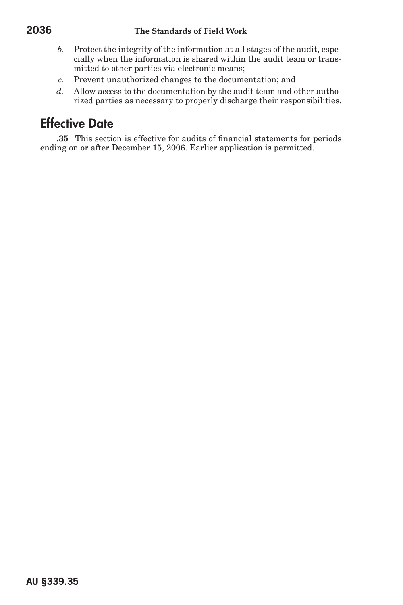- *b.* Protect the integrity of the information at all stages of the audit, especially when the information is shared within the audit team or transmitted to other parties via electronic means;
- *c.* Prevent unauthorized changes to the documentation; and
- *d.* Allow access to the documentation by the audit team and other authorized parties as necessary to properly discharge their responsibilities.

## Effective Date

**.35** This section is effective for audits of financial statements for periods ending on or after December 15, 2006. Earlier application is permitted.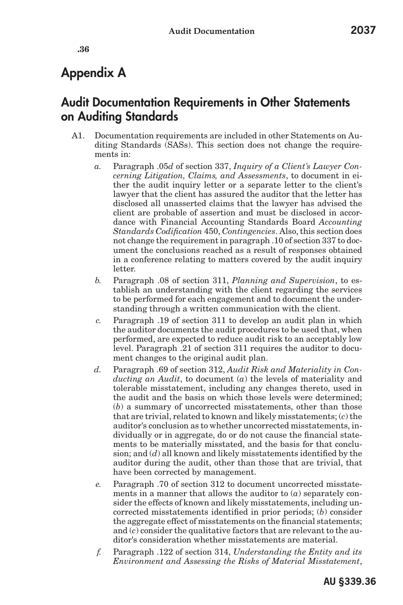**.36**

# Appendix A

### Audit Documentation Requirements in Other Statements on Auditing Standards

- A1. Documentation requirements are included in other Statements on Auditing Standards (SASs). This section does not change the requirements in:
	- *a.* Paragraph .05*d* of section 337, *Inquiry of a Client's Lawyer Concerning Litigation, Claims, and Assessments*, to document in either the audit inquiry letter or a separate letter to the client's lawyer that the client has assured the auditor that the letter has disclosed all unasserted claims that the lawyer has advised the client are probable of assertion and must be disclosed in accordance with Financial Accounting Standards Board *Accounting Standards Codification* 450, *Contingencies*. Also, this section does not change the requirement in paragraph .10 of section 337 to document the conclusions reached as a result of responses obtained in a conference relating to matters covered by the audit inquiry letter.
	- *b.* Paragraph .08 of section 311, *Planning and Supervision*, to establish an understanding with the client regarding the services to be performed for each engagement and to document the understanding through a written communication with the client.
	- *c.* Paragraph .19 of section 311 to develop an audit plan in which the auditor documents the audit procedures to be used that, when performed, are expected to reduce audit risk to an acceptably low level. Paragraph .21 of section 311 requires the auditor to document changes to the original audit plan.
	- *d.* Paragraph .69 of section 312, *Audit Risk and Materiality in Conducting an Audit*, to document (*a*) the levels of materiality and tolerable misstatement, including any changes thereto, used in the audit and the basis on which those levels were determined; (*b*) a summary of uncorrected misstatements, other than those that are trivial, related to known and likely misstatements; (*c*) the auditor's conclusion as to whether uncorrected misstatements, individually or in aggregate, do or do not cause the financial statements to be materially misstated, and the basis for that conclusion; and (*d*) all known and likely misstatements identified by the auditor during the audit, other than those that are trivial, that have been corrected by management.
	- *e.* Paragraph .70 of section 312 to document uncorrected misstatements in a manner that allows the auditor to (*a*) separately consider the effects of known and likely misstatements, including uncorrected misstatements identified in prior periods; (*b*) consider the aggregate effect of misstatements on the financial statements; and (*c*) consider the qualitative factors that are relevant to the auditor's consideration whether misstatements are material.
	- *f.* Paragraph .122 of section 314, *Understanding the Entity and its Environment and Assessing the Risks of Material Misstatement*,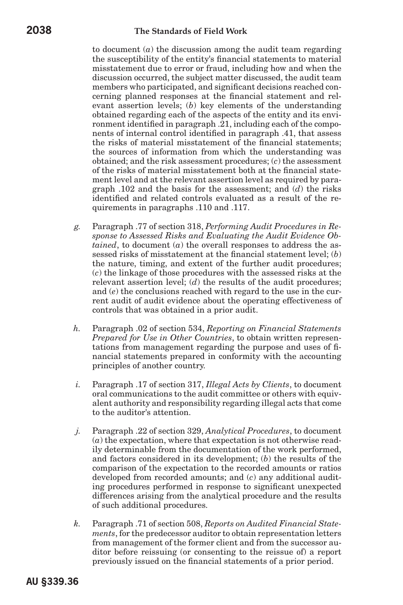#### **2038 The Standards of Field Work**

to document (*a*) the discussion among the audit team regarding the susceptibility of the entity's financial statements to material misstatement due to error or fraud, including how and when the discussion occurred, the subject matter discussed, the audit team members who participated, and significant decisions reached concerning planned responses at the financial statement and relevant assertion levels; (*b*) key elements of the understanding obtained regarding each of the aspects of the entity and its environment identified in paragraph .21, including each of the components of internal control identified in paragraph .41, that assess the risks of material misstatement of the financial statements; the sources of information from which the understanding was obtained; and the risk assessment procedures; (*c*) the assessment of the risks of material misstatement both at the financial statement level and at the relevant assertion level as required by paragraph .102 and the basis for the assessment; and (*d*) the risks identified and related controls evaluated as a result of the requirements in paragraphs .110 and .117.

- *g.* Paragraph .77 of section 318, *Performing Audit Procedures in Response to Assessed Risks and Evaluating the Audit Evidence Obtained*, to document (*a*) the overall responses to address the assessed risks of misstatement at the financial statement level; (*b*) the nature, timing, and extent of the further audit procedures; (*c*) the linkage of those procedures with the assessed risks at the relevant assertion level; (*d*) the results of the audit procedures; and (*e*) the conclusions reached with regard to the use in the current audit of audit evidence about the operating effectiveness of controls that was obtained in a prior audit.
- *h.* Paragraph .02 of section 534, *Reporting on Financial Statements Prepared for Use in Other Countries*, to obtain written representations from management regarding the purpose and uses of financial statements prepared in conformity with the accounting principles of another country.
- *i.* Paragraph .17 of section 317, *Illegal Acts by Clients*, to document oral communications to the audit committee or others with equivalent authority and responsibility regarding illegal acts that come to the auditor's attention.
- *j.* Paragraph .22 of section 329, *Analytical Procedures*, to document (*a*) the expectation, where that expectation is not otherwise readily determinable from the documentation of the work performed, and factors considered in its development; (*b*) the results of the comparison of the expectation to the recorded amounts or ratios developed from recorded amounts; and (*c*) any additional auditing procedures performed in response to significant unexpected differences arising from the analytical procedure and the results of such additional procedures.
- *k.* Paragraph .71 of section 508, *Reports on Audited Financial Statements*, for the predecessor auditor to obtain representation letters from management of the former client and from the successor auditor before reissuing (or consenting to the reissue of) a report previously issued on the financial statements of a prior period.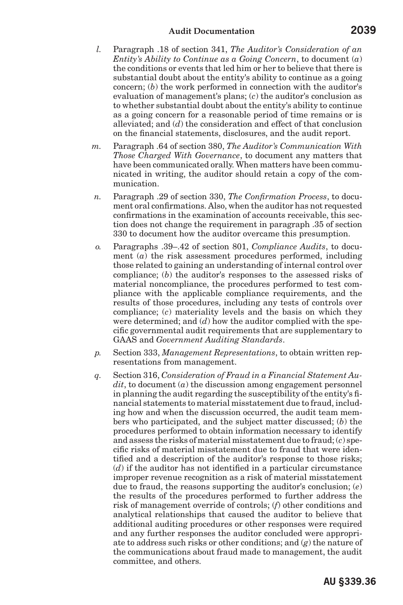- *l.* Paragraph .18 of section 341, *The Auditor's Consideration of an Entity's Ability to Continue as a Going Concern*, to document (*a*) the conditions or events that led him or her to believe that there is substantial doubt about the entity's ability to continue as a going concern; (*b*) the work performed in connection with the auditor's evaluation of management's plans; (*c*) the auditor's conclusion as to whether substantial doubt about the entity's ability to continue as a going concern for a reasonable period of time remains or is alleviated; and (*d*) the consideration and effect of that conclusion on the financial statements, disclosures, and the audit report.
- *m.* Paragraph .64 of section 380, *The Auditor's Communication With Those Charged With Governance*, to document any matters that have been communicated orally. When matters have been communicated in writing, the auditor should retain a copy of the communication.
- *n.* Paragraph .29 of section 330, *The Confirmation Process*, to document oral confirmations. Also, when the auditor has not requested confirmations in the examination of accounts receivable, this section does not change the requirement in paragraph .35 of section 330 to document how the auditor overcame this presumption.
- *o.* Paragraphs .39–.42 of section 801, *Compliance Audits*, to document (*a*) the risk assessment procedures performed, including those related to gaining an understanding of internal control over compliance; (*b*) the auditor's responses to the assessed risks of material noncompliance, the procedures performed to test compliance with the applicable compliance requirements, and the results of those procedures, including any tests of controls over compliance; (*c*) materiality levels and the basis on which they were determined; and (*d*) how the auditor complied with the specific governmental audit requirements that are supplementary to GAAS and *Government Auditing Standards*.
- *p.* Section 333, *Management Representations*, to obtain written representations from management.
- *q.* Section 316, *Consideration of Fraud in a Financial Statement Audit*, to document (*a*) the discussion among engagement personnel in planning the audit regarding the susceptibility of the entity's financial statements to material misstatement due to fraud, including how and when the discussion occurred, the audit team members who participated, and the subject matter discussed; (*b*) the procedures performed to obtain information necessary to identify and assess the risks of material misstatement due to fraud; (*c*) specific risks of material misstatement due to fraud that were identified and a description of the auditor's response to those risks; (*d*) if the auditor has not identified in a particular circumstance improper revenue recognition as a risk of material misstatement due to fraud, the reasons supporting the auditor's conclusion; (*e*) the results of the procedures performed to further address the risk of management override of controls; (*f*) other conditions and analytical relationships that caused the auditor to believe that additional auditing procedures or other responses were required and any further responses the auditor concluded were appropriate to address such risks or other conditions; and (*g*) the nature of the communications about fraud made to management, the audit committee, and others.